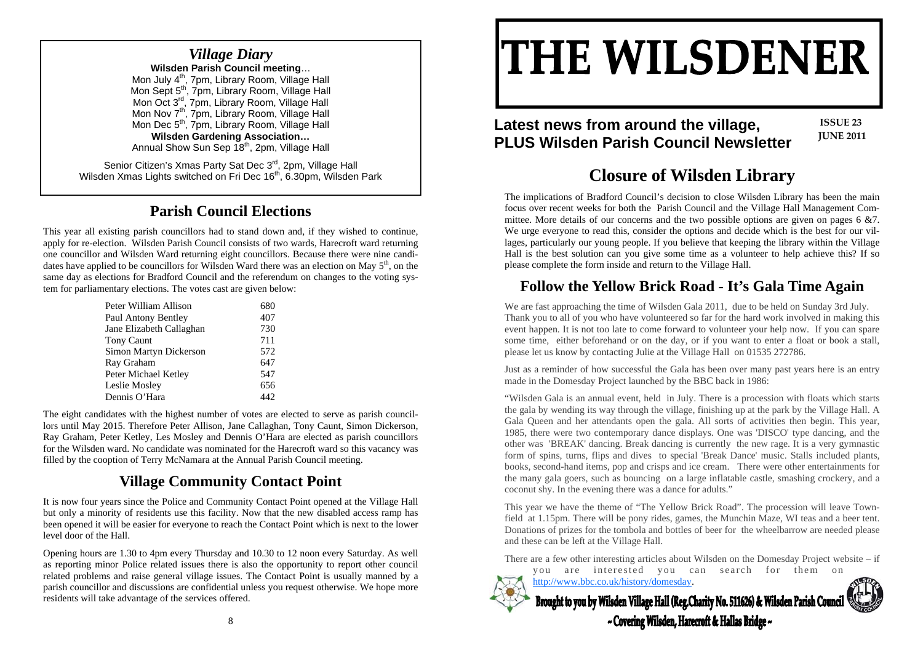#### *Village Diary*  **Wilsden Parish Council meeting**… Mon July 4<sup>th</sup>, 7pm, Library Room, Village Hall Mon Sept 5<sup>th</sup>, 7pm, Library Room, Village Hall Mon Oct 3<sup>rd</sup>, 7pm, Library Room, Village Hall Mon Nov 7<sup>th</sup>, 7pm, Library Room, Village Hall Mon Dec 5<sup>th</sup>, 7pm, Library Room, Village Hall **Wilsden Gardening Association…**  Annual Show Sun Sep 18<sup>th</sup>, 2pm, Village Hall Senior Citizen's Xmas Party Sat Dec 3<sup>rd</sup>, 2pm, Village Hall

Wilsden Xmas Lights switched on Fri Dec 16<sup>th</sup>, 6.30pm, Wilsden Park **Closure of Wilsden Library** 

#### **Parish Council Elections**

This year all existing parish councillors had to stand down and, if they wished to continue, apply for re-election. Wilsden Parish Council consists of two wards, Harecroft ward returning one councillor and Wilsden Ward returning eight councillors. Because there were nine candidates have applied to be councillors for Wilsden Ward there was an election on May  $5<sup>th</sup>$ , on the same day as elections for Bradford Council and the referendum on changes to the voting system for parliamentary elections. The votes cast are given below:

| Peter William Allison    | 680 |
|--------------------------|-----|
| Paul Antony Bentley      | 407 |
| Jane Elizabeth Callaghan | 730 |
| <b>Tony Caunt</b>        | 711 |
| Simon Martyn Dickerson   | 572 |
| Ray Graham               | 647 |
| Peter Michael Ketley     | 547 |
| Leslie Mosley            | 656 |
| Dennis O'Hara            |     |

The eight candidates with the highest number of votes are elected to serve as parish councillors until May 2015. Therefore Peter Allison, Jane Callaghan, Tony Caunt, Simon Dickerson, Ray Graham, Peter Ketley, Les Mosley and Dennis O'Hara are elected as parish councillors for the Wilsden ward. No candidate was nominated for the Harecroft ward so this vacancy was filled by the cooption of Terry McNamara at the Annual Parish Council meeting.

#### **Village Community Contact Point**

It is now four years since the Police and Community Contact Point opened at the Village Hall but only a minority of residents use this facility. Now that the new disabled access ramp has been opened it will be easier for everyone to reach the Contact Point which is next to the lower level door of the Hall.

Opening hours are 1.30 to 4pm every Thursday and 10.30 to 12 noon every Saturday. As well as reporting minor Police related issues there is also the opportunity to report other council related problems and raise general village issues. The Contact Point is usually manned by a parish councillor and discussions are confidential unless you request otherwise. We hope more residents will take advantage of the services offered.

# **THE WILSDENER**

## Latest news from around the village,<br>PLUS Wilsden Parish Council Newsletter <sup>JUNE 2011</sup>

**ISSUE 23**

The implications of Bradford Council's decision to close Wilsden Library has been the main focus over recent weeks for both the Parish Council and the Village Hall Management Committee. More details of our concerns and the two possible options are given on pages 6 &7. We urge everyone to read this, consider the options and decide which is the best for our villages, particularly our young people. If you believe that keeping the library within the Village Hall is the best solution can you give some time as a volunteer to help achieve this? If so please complete the form inside and return to the Village Hall.

### **Follow the Yellow Brick Road - It's Gala Time Again**

We are fast approaching the time of Wilsden Gala 2011, due to be held on Sunday 3rd July. Thank you to all of you who have volunteered so far for the hard work involved in making this event happen. It is not too late to come forward to volunteer your help now. If you can spare some time, either beforehand or on the day, or if you want to enter a float or book a stall, please let us know by contacting Julie at the Village Hall on 01535 272786.

Just as a reminder of how successful the Gala has been over many past years here is an entry made in the Domesday Project launched by the BBC back in 1986:

"Wilsden Gala is an annual event, held in July. There is a procession with floats which starts the gala by wending its way through the village, finishing up at the park by the Village Hall. A Gala Queen and her attendants open the gala. All sorts of activities then begin. This year, 1985, there were two contemporary dance displays. One was 'DISCO' type dancing, and the other was 'BREAK' dancing. Break dancing is currently the new rage. It is a very gymnastic form of spins, turns, flips and dives to special 'Break Dance' music. Stalls included plants, books, second-hand items, pop and crisps and ice cream. There were other entertainments for the many gala goers, such as bouncing on a large inflatable castle, smashing crockery, and a coconut shy. In the evening there was a dance for adults."

This year we have the theme of "The Yellow Brick Road". The procession will leave Townfield at 1.15pm. There will be pony rides, games, the Munchin Maze, WI teas and a beer tent. Donations of prizes for the tombola and bottles of beer for the wheelbarrow are needed please and these can be left at the Village Hall.

There are a few other interesting articles about Wilsden on the Domesday Project website – if y ou are interested you can search for them on



http://www.bbc.co.uk/history/domesday. Brought to you by Wilsden Village Hall (Reg.Charity No. 511626) & Wilsden Parish Counci ~ Covering Wilsden, Harecroft & Hallas Bridge ~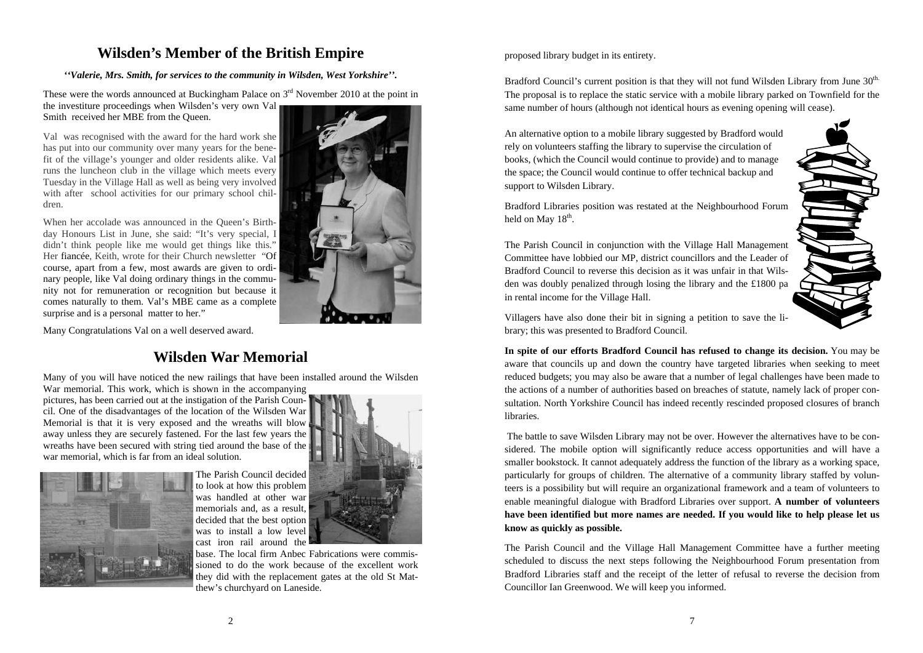#### **Wilsden's Member of the British Empire**

*''Valerie, Mrs. Smith, for services to the community in Wilsden, West Yorkshire''.* 

These were the words announced at Buckingham Palace on  $3<sup>rd</sup>$  November 2010 at the point in the investiture proceedings when Wilsden's very own Val Smith received her MBE from the Queen.

Val was recognised with the award for the hard work she has put into our community over many years for the benefit of the village's younger and older residents alike. Val runs the luncheon club in the village which meets every Tuesday in the Village Hall as well as being very involved with after school activities for our primary school children.

When her accolade was announced in the Queen's Birthday Honours List in June, she said: "It's very special, I didn't think people like me would get things like this." Her fiancée, Keith, wrote for their Church newsletter "Of course, apart from a few, most awards are given to ordinary people, like Val doing ordinary things in the community not for remuneration or recognition but because it comes naturally to them. Val's MBE came as a complete surprise and is a personal matter to her."

Many Congratulations Val on a well deserved award.

#### **Wilsden War Memorial**

Many of you will have noticed the new railings that have been installed around the Wilsden War memorial. This work, which is shown in the accompanying

pictures, has been carried out at the instigation of the Parish Council. One of the disadvantages of the location of the Wilsden War Memorial is that it is very exposed and the wreaths will blow away unless they are securely fastened. For the last few years the wreaths have been secured with string tied around the base of the war memorial, which is far from an ideal solution.



The Parish Council decided to look at how this problem was handled at other war memorials and, as a result, decided that the best option was to install a low level cast iron rail around the



base. The local firm Anbec Fabrications were commissioned to do the work because of the excellent work they did with the replacement gates at the old St Matthew's churchyard on Laneside.

#### proposed library budget in its entirety.

in rental income for the Village Hall.

held on May  $18<sup>th</sup>$ .

Bradford Council's current position is that they will not fund Wilsden Library from June 30<sup>th.</sup> The proposal is to replace the static service with a mobile library parked on Townfield for the same number of hours (although not identical hours as evening opening will cease).

An alternative option to a mobile library suggested by Bradford would rely on volunteers staffing the library to supervise the circulation of books, (which the Council would continue to provide) and to manage the space; the Council would continue to offer technical backup and support to Wilsden Library.

Bradford Libraries position was restated at the Neighbourhood Forum Committee have lobbied our MP, district councillors and the Leader of

Villagers have also done their bit in signing a petition to save the library; this was presented to Bradford Council.

The Parish Council in conjunction with the Village Hall Management

Bradford Council to reverse this decision as it was unfair in that Wilsden was doubly penalized through losing the library and the £1800 pa

**In spite of our efforts Bradford Council has refused to change its decision.** You may be aware that councils up and down the country have targeted libraries when seeking to meet reduced budgets; you may also be aware that a number of legal challenges have been made to the actions of a number of authorities based on breaches of statute, namely lack of proper consultation. North Yorkshire Council has indeed recently rescinded proposed closures of branch **libraries** 

 The battle to save Wilsden Library may not be over. However the alternatives have to be considered. The mobile option will significantly reduce access opportunities and will have a smaller bookstock. It cannot adequately address the function of the library as a working space, particularly for groups of children. The alternative of a community library staffed by volunteers is a possibility but will require an organizational framework and a team of volunteers to enable meaningful dialogue with Bradford Libraries over support. **A number of volunteers have been identified but more names are needed. If you would like to help please let us know as quickly as possible.** 

The Parish Council and the Village Hall Management Committee have a further meeting scheduled to discuss the next steps following the Neighbourhood Forum presentation from Bradford Libraries staff and the receipt of the letter of refusal to reverse the decision from Councillor Ian Greenwood. We will keep you informed.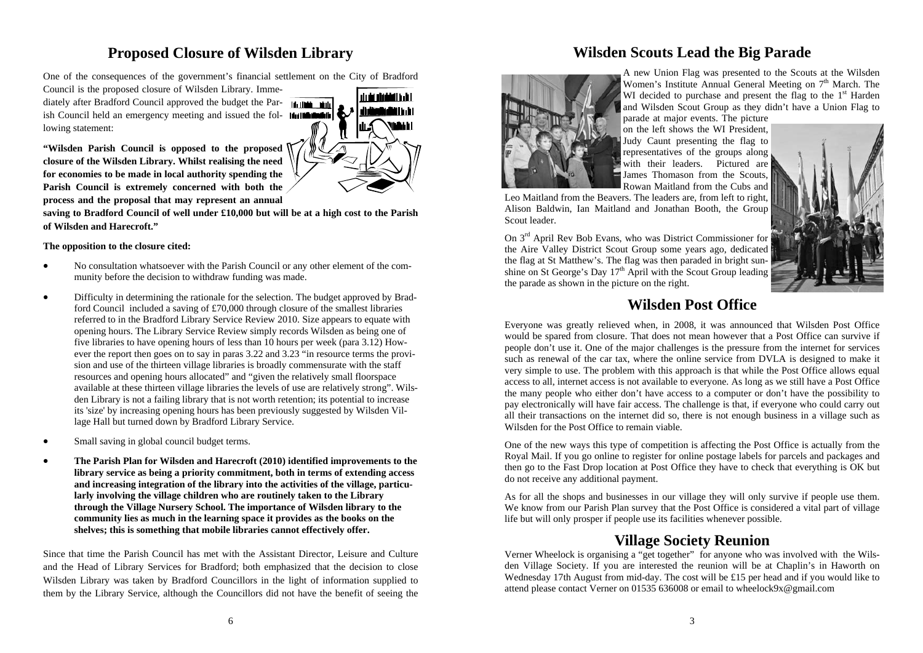#### **Proposed Closure of Wilsden Library**

One of the consequences of the government's financial settlement on the City of Bradford

Council is the proposed closure of Wilsden Library. Immediately after Bradford Council approved the budget the Parish Council held an emergency meeting and issued the fol- **Industrial** lowing statement:



**"Wilsden Parish Council is opposed to the proposed closure of the Wilsden Library. Whilst realising the need for economies to be made in local authority spending the Parish Council is extremely concerned with both the process and the proposal that may represent an annual** 

**saving to Bradford Council of well under £10,000 but will be at a high cost to the Parish of Wilsden and Harecroft."** 

#### **The opposition to the closure cited:**

- $\bullet$  No consultation whatsoever with the Parish Council or any other element of the community before the decision to withdraw funding was made.
- $\bullet$  Difficulty in determining the rationale for the selection. The budget approved by Bradford Council included a saving of £70,000 through closure of the smallest libraries referred to in the Bradford Library Service Review 2010. Size appears to equate with opening hours. The Library Service Review simply records Wilsden as being one of five libraries to have opening hours of less than 10 hours per week (para 3.12) However the report then goes on to say in paras 3.22 and 3.23 "in resource terms the provision and use of the thirteen village libraries is broadly commensurate with the staff resources and opening hours allocated" and "given the relatively small floorspace available at these thirteen village libraries the levels of use are relatively strong". Wilsden Library is not a failing library that is not worth retention; its potential to increase its 'size' by increasing opening hours has been previously suggested by Wilsden Village Hall but turned down by Bradford Library Service.
- $\bullet$ Small saving in global council budget terms.
- $\bullet$  **The Parish Plan for Wilsden and Harecroft (2010) identified improvements to the library service as being a priority commitment, both in terms of extending access and increasing integration of the library into the activities of the village, particularly involving the village children who are routinely taken to the Library through the Village Nursery School. The importance of Wilsden library to the community lies as much in the learning space it provides as the books on the shelves; this is something that mobile libraries cannot effectively offer.**

Since that time the Parish Council has met with the Assistant Director, Leisure and Culture and the Head of Library Services for Bradford; both emphasized that the decision to close Wilsden Library was taken by Bradford Councillors in the light of information supplied to them by the Library Service, although the Councillors did not have the benefit of seeing the

#### **Wilsden Scouts Lead the Big Parade**



A new Union Flag was presented to the Scouts at the Wilsden Women's Institute Annual General Meeting on 7<sup>th</sup> March. The WI decided to purchase and present the flag to the  $1<sup>st</sup>$  Harden and Wilsden Scout Group as they didn't have a Union Flag to parade at major events. The picture

on the left shows the WI President, Judy Caunt presenting the flag to representatives of the groups along with their leaders. Pictured are James Thomason from the Scouts, Rowan Maitland from the Cubs and

Leo Maitland from the Beavers. The leaders are, from left to right, Alison Baldwin, Ian Maitland and Jonathan Booth, the Group Scout leader.

On 3rd April Rev Bob Evans, who was District Commissioner for the Aire Valley District Scout Group some years ago, dedicated the flag at St Matthew's. The flag was then paraded in bright sunshine on St George's Day  $17<sup>th</sup>$  April with the Scout Group leading the parade as shown in the picture on the right.



#### **Wilsden Post Office**

Everyone was greatly relieved when, in 2008, it was announced that Wilsden Post Office would be spared from closure. That does not mean however that a Post Office can survive if people don't use it. One of the major challenges is the pressure from the internet for services such as renewal of the car tax, where the online service from DVLA is designed to make it very simple to use. The problem with this approach is that while the Post Office allows equal access to all, internet access is not available to everyone. As long as we still have a Post Office the many people who either don't have access to a computer or don't have the possibility to pay electronically will have fair access. The challenge is that, if everyone who could carry out all their transactions on the internet did so, there is not enough business in a village such as Wilsden for the Post Office to remain viable.

One of the new ways this type of competition is affecting the Post Office is actually from the Royal Mail. If you go online to register for online postage labels for parcels and packages and then go to the Fast Drop location at Post Office they have to check that everything is OK but do not receive any additional payment.

As for all the shops and businesses in our village they will only survive if people use them. We know from our Parish Plan survey that the Post Office is considered a vital part of village life but will only prosper if people use its facilities whenever possible.

#### **Village Society Reunion**

Verner Wheelock is organising a "get together" for anyone who was involved with the Wilsden Village Society. If you are interested the reunion will be at Chaplin's in Haworth on Wednesday 17th August from mid-day. The cost will be £15 per head and if you would like to attend please contact Verner on 01535 636008 or email to wheelock9x@gmail.com